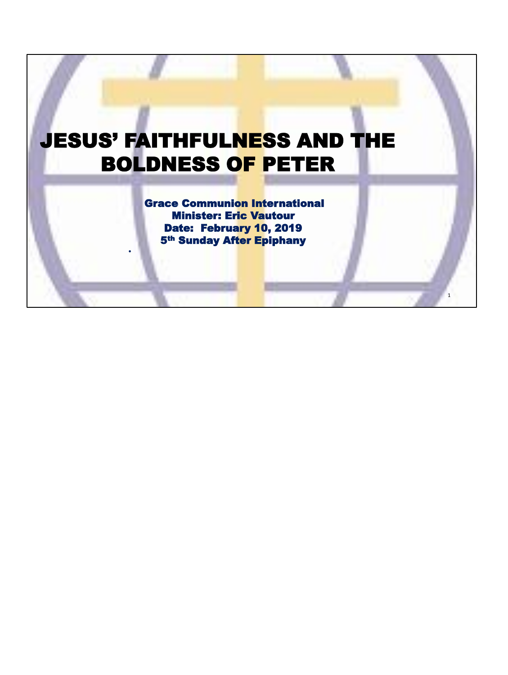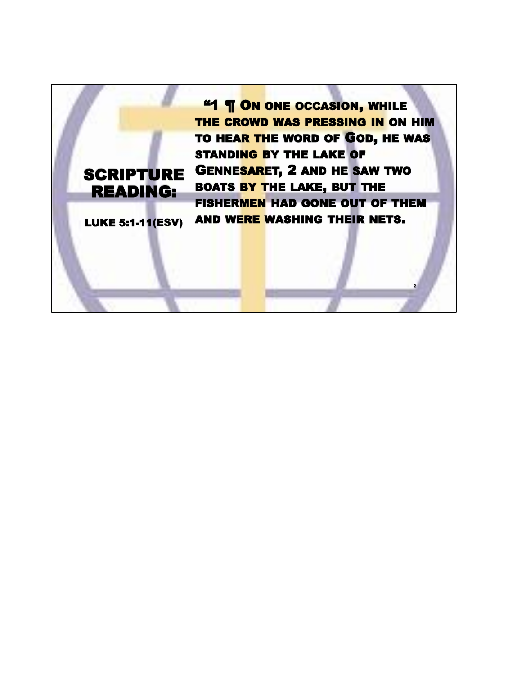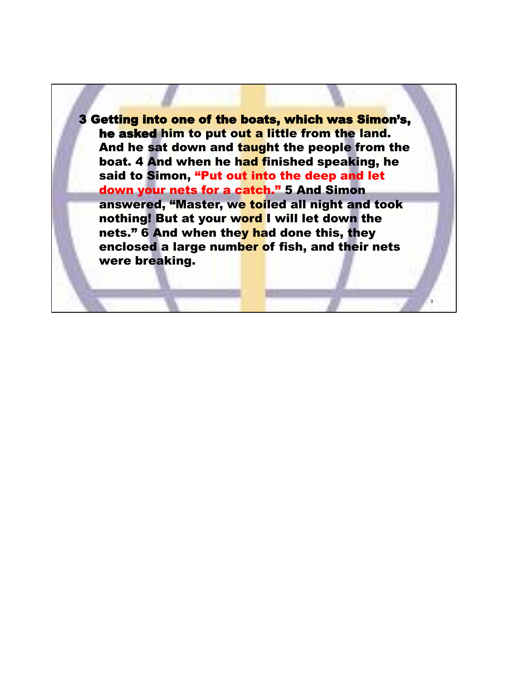3 Getting into one of the boats, which was Simon's, he asked him to put out a little from the land. And he sat down and taught the people from the boat. 4 And when he had finished speaking, he said to Simon, "Put out into the deep and let down your nets for a catch." 5 And Simon answered, "Master, we toiled all night and took nothing! But at your word I will let down the nets." 6 And when they had done this, they enclosed a large number of fish, and their nets were breaking.

3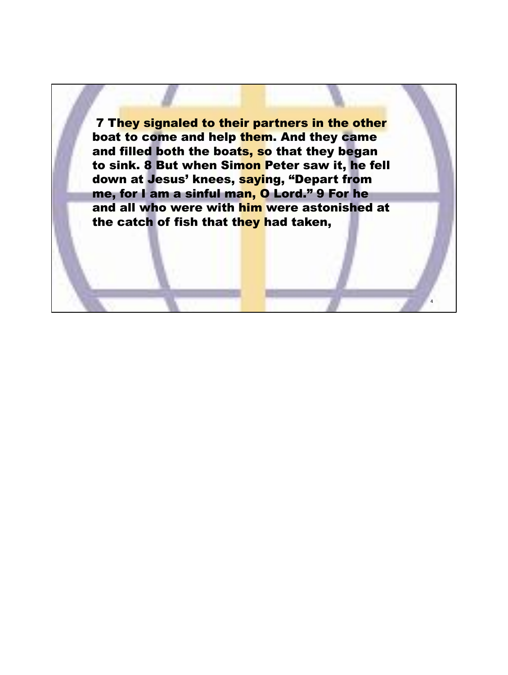**7 They signaled to their partners in the other** boat to come and help them. And they came and filled both the boats, so that they began to sink. 8 But when Simon Peter saw it, he fell down at Jesus' knees, saying, "Depart from me, for I am a sinful man, O Lord." 9 For he and all who were with him were astonished at the catch of fish that they had taken,

4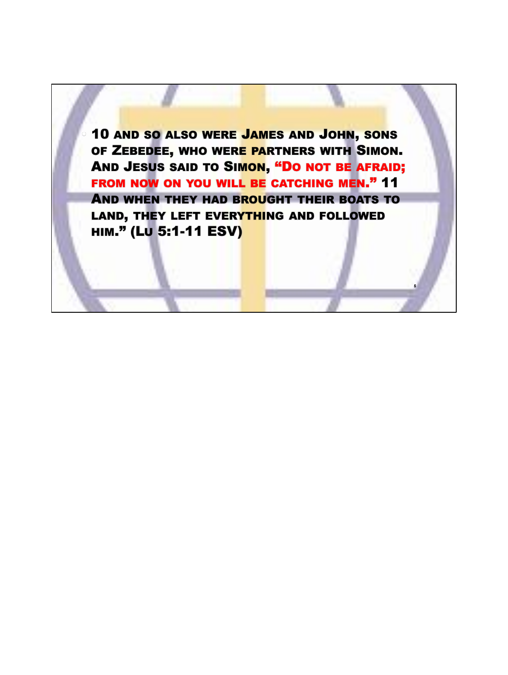• 10 AND SO ALSO WERE JAMES AND JOHN, SONS OF ZEBEDEE, WHO WERE PARTNERS WITH SIMON. AND JESUS SAID TO SIMON, "DO NOT BE AFRAID; FROM NOW ON YOU WILL BE CATCHING MEN." 11 AND WHEN THEY HAD BROUGHT THEIR BOATS TO LAND, THEY LEFT EVERYTHING AND FOLLOWED HIM." (LU 5:1-11 ESV)

**5**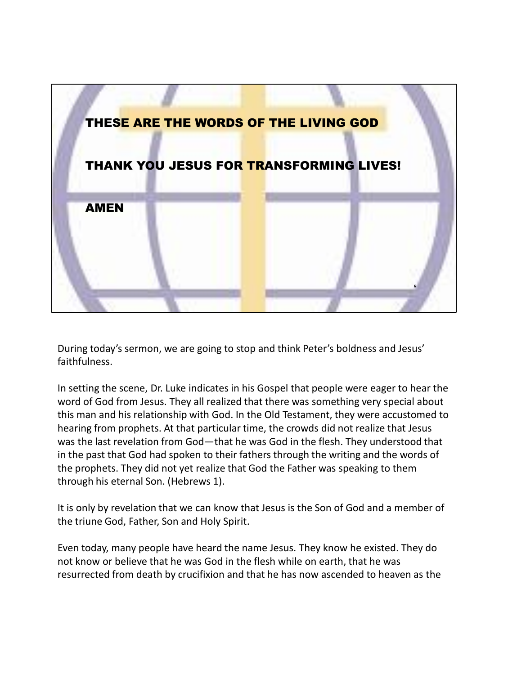

During today's sermon, we are going to stop and think Peter's boldness and Jesus' faithfulness.

In setting the scene, Dr. Luke indicates in his Gospel that people were eager to hear the word of God from Jesus. They all realized that there was something very special about this man and his relationship with God. In the Old Testament, they were accustomed to hearing from prophets. At that particular time, the crowds did not realize that Jesus was the last revelation from God—that he was God in the flesh. They understood that in the past that God had spoken to their fathers through the writing and the words of the prophets. They did not yet realize that God the Father was speaking to them through his eternal Son. (Hebrews 1).

It is only by revelation that we can know that Jesus is the Son of God and a member of the triune God, Father, Son and Holy Spirit.

Even today, many people have heard the name Jesus. They know he existed. They do not know or believe that he was God in the flesh while on earth, that he was resurrected from death by crucifixion and that he has now ascended to heaven as the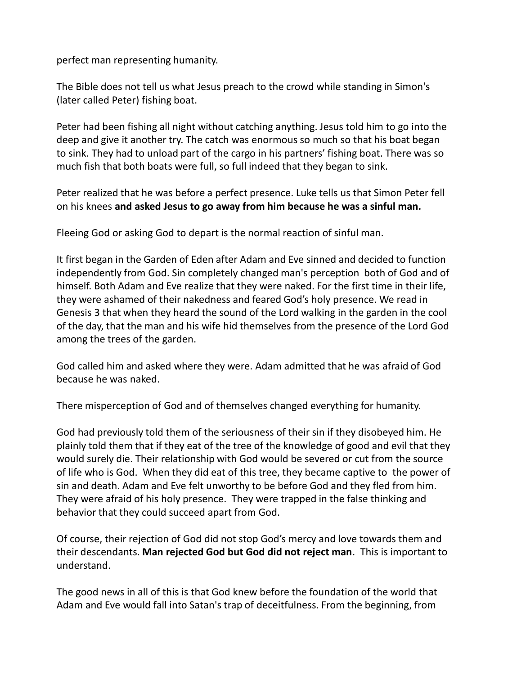perfect man representing humanity.

The Bible does not tell us what Jesus preach to the crowd while standing in Simon's (later called Peter) fishing boat.

Peter had been fishing all night without catching anything. Jesus told him to go into the deep and give it another try. The catch was enormous so much so that his boat began to sink. They had to unload part of the cargo in his partners' fishing boat. There was so much fish that both boats were full, so full indeed that they began to sink.

Peter realized that he was before a perfect presence. Luke tells us that Simon Peter fell on his knees **and asked Jesus to go away from him because he was a sinful man.**

Fleeing God or asking God to depart is the normal reaction of sinful man.

It first began in the Garden of Eden after Adam and Eve sinned and decided to function independently from God. Sin completely changed man's perception both of God and of himself. Both Adam and Eve realize that they were naked. For the first time in their life, they were ashamed of their nakedness and feared God's holy presence. We read in Genesis 3 that when they heard the sound of the Lord walking in the garden in the cool of the day, that the man and his wife hid themselves from the presence of the Lord God among the trees of the garden.

God called him and asked where they were. Adam admitted that he was afraid of God because he was naked.

There misperception of God and of themselves changed everything for humanity.

God had previously told them of the seriousness of their sin if they disobeyed him. He plainly told them that if they eat of the tree of the knowledge of good and evil that they would surely die. Their relationship with God would be severed or cut from the source of life who is God. When they did eat of this tree, they became captive to the power of sin and death. Adam and Eve felt unworthy to be before God and they fled from him. They were afraid of his holy presence. They were trapped in the false thinking and behavior that they could succeed apart from God.

Of course, their rejection of God did not stop God's mercy and love towards them and their descendants. **Man rejected God but God did not reject man**. This is important to understand.

The good news in all of this is that God knew before the foundation of the world that Adam and Eve would fall into Satan's trap of deceitfulness. From the beginning, from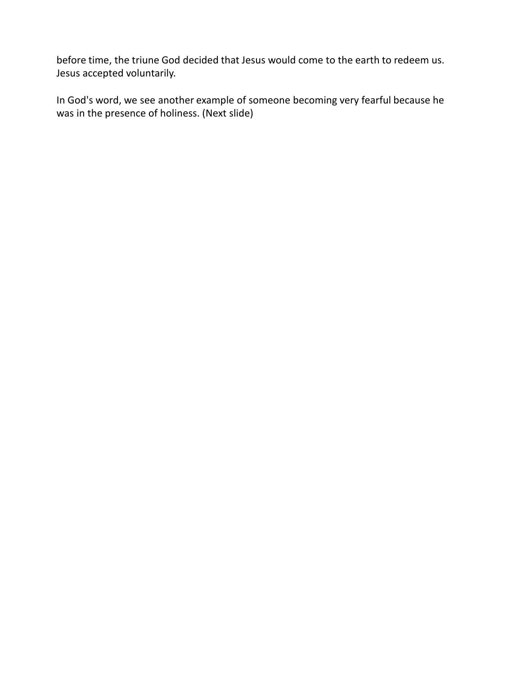before time, the triune God decided that Jesus would come to the earth to redeem us. Jesus accepted voluntarily.

In God's word, we see another example of someone becoming very fearful because he was in the presence of holiness. (Next slide)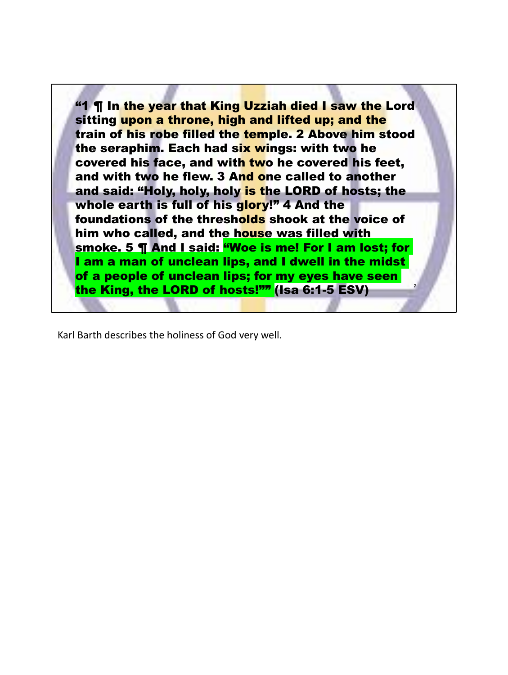**7** "1 ¶ In the year that King Uzziah died I saw the Lord sitting upon a throne, high and lifted up; and the train of his robe filled the temple. 2 Above him stood the seraphim. Each had six wings: with two he covered his face, and with two he covered his feet, and with two he flew. 3 And one called to another and said: "Holy, holy, holy is the LORD of hosts; the whole earth is full of his glory!" 4 And the foundations of the thresholds shook at the voice of him who called, and the house was filled with smoke. 5 ¶ And I said: "Woe is me! For I am lost; for I am a man of unclean lips, and I dwell in the midst of a people of unclean lips; for my eyes have seen the King, the LORD of hosts!"" (Isa 6:1-5 ESV)

Karl Barth describes the holiness of God very well.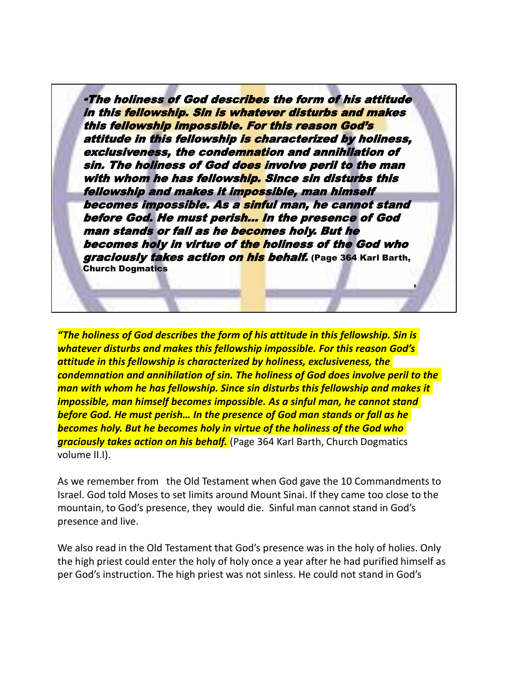"The holiness of God describes the form of his attitude in this fellowship. Sin is whatever disturbs and makes this fellowship impossible. For this reason God's attitude in this fellowship is characterized by holiness, exclusiveness, the condemnation and annihilation of sin. The holiness of God does involve peril to the man with whom he has fellowship. Since sin disturbs this fellowship and makes it impossible, man himself becomes impossible. As a sinful man, he cannot stand before God. He must perish… In the presence of God man stands or fall as he becomes holy. But he becomes holy in virtue of the holiness of the God who graciously takes action on his behalf. (Page 364 Karl Barth, **Church Dogmatics** 

**8**

*"The holiness of God describes the form of his attitude in this fellowship. Sin is whatever disturbs and makes this fellowship impossible. For this reason God's attitude in this fellowship is characterized by holiness, exclusiveness, the condemnation and annihilation of sin. The holiness of God does involve peril to the man with whom he has fellowship. Since sin disturbs this fellowship and makes it impossible, man himself becomes impossible. As a sinful man, he cannot stand before God. He must perish… In the presence of God man stands or fall as he becomes holy. But he becomes holy in virtue of the holiness of the God who graciously takes action on his behalf.* (Page 364 Karl Barth, Church Dogmatics volume II.I).

As we remember from the Old Testament when God gave the 10 Commandments to Israel. God told Moses to set limits around Mount Sinai. If they came too close to the mountain, to God's presence, they would die. Sinful man cannot stand in God's presence and live.

We also read in the Old Testament that God's presence was in the holy of holies. Only the high priest could enter the holy of holy once a year after he had purified himself as per God's instruction. The high priest was not sinless. He could not stand in God's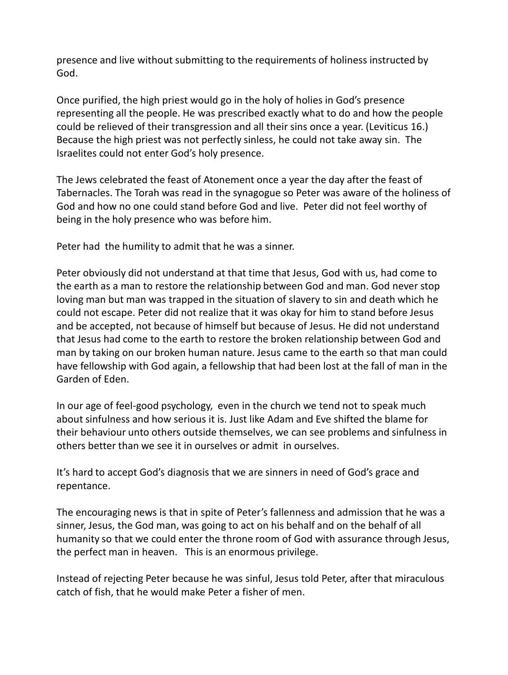presence and live without submitting to the requirements of holiness instructed by God.

Once purified, the high priest would go in the holy of holies in God's presence representing all the people. He was prescribed exactly what to do and how the people could be relieved of their transgression and all their sins once a year. (Leviticus 16.) Because the high priest was not perfectly sinless, he could not take away sin. The Israelites could not enter God's holy presence.

The Jews celebrated the feast of Atonement once a year the day after the feast of Tabernacles. The Torah was read in the synagogue so Peter was aware of the holiness of God and how no one could stand before God and live. Peter did not feel worthy of being in the holy presence who was before him.

Peter had the humility to admit that he was a sinner.

Peter obviously did not understand at that time that Jesus, God with us, had come to the earth as a man to restore the relationship between God and man. God never stop loving man but man was trapped in the situation of slavery to sin and death which he could not escape. Peter did not realize that it was okay for him to stand before Jesus and be accepted, not because of himself but because of Jesus. He did not understand that Jesus had come to the earth to restore the broken relationship between God and man by taking on our broken human nature. Jesus came to the earth so that man could have fellowship with God again, a fellowship that had been lost at the fall of man in the Garden of Eden.

In our age of feel-good psychology, even in the church we tend not to speak much about sinfulness and how serious it is. Just like Adam and Eve shifted the blame for their behaviour unto others outside themselves, we can see problems and sinfulness in others better than we see it in ourselves or admit in ourselves.

It's hard to accept God's diagnosis that we are sinners in need of God's grace and repentance.

The encouraging news is that in spite of Peter's fallenness and admission that he was a sinner, Jesus, the God man, was going to act on his behalf and on the behalf of all humanity so that we could enter the throne room of God with assurance through Jesus, the perfect man in heaven. This is an enormous privilege.

Instead of rejecting Peter because he was sinful, Jesus told Peter, after that miraculous catch of fish, that he would make Peter a fisher of men.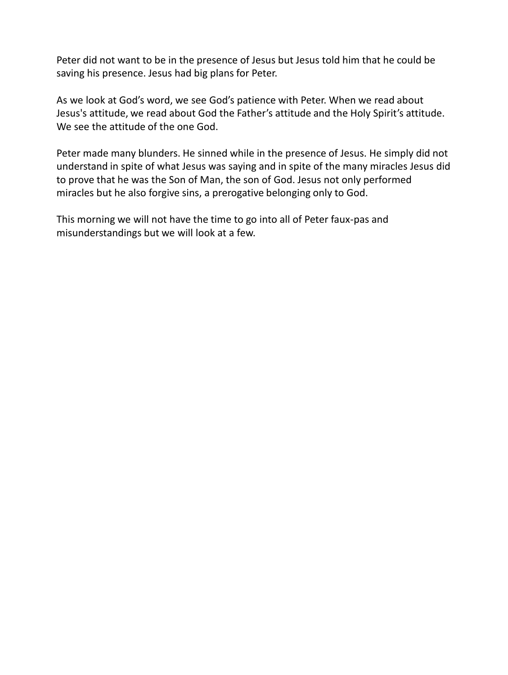Peter did not want to be in the presence of Jesus but Jesus told him that he could be saving his presence. Jesus had big plans for Peter.

As we look at God's word, we see God's patience with Peter. When we read about Jesus's attitude, we read about God the Father's attitude and the Holy Spirit's attitude. We see the attitude of the one God.

Peter made many blunders. He sinned while in the presence of Jesus. He simply did not understand in spite of what Jesus was saying and in spite of the many miracles Jesus did to prove that he was the Son of Man, the son of God. Jesus not only performed miracles but he also forgive sins, a prerogative belonging only to God.

This morning we will not have the time to go into all of Peter faux-pas and misunderstandings but we will look at a few.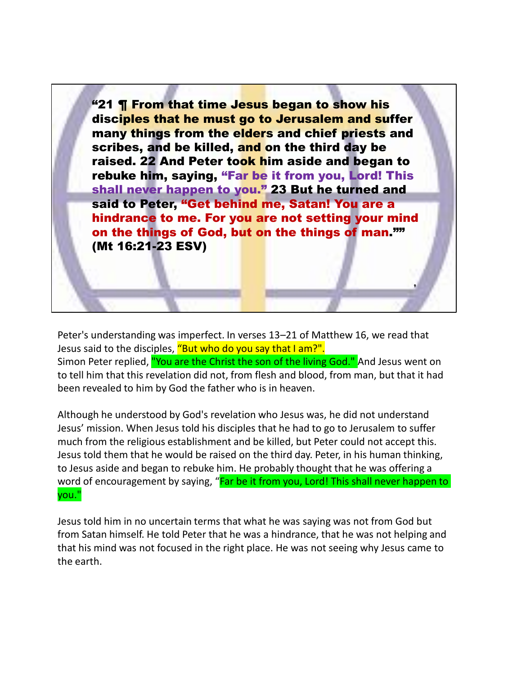"21 ¶ From that time Jesus began to show his disciples that he must go to Jerusalem and suffer many things from the elders and chief priests and scribes, and be killed, and on the third day be raised. 22 And Peter took him aside and began to rebuke him, saying, "Far be it from you, Lord! This shall never happen to you." 23 But he turned and said to Peter, "Get behind me, Satan! You are a hindrance to me. For you are not setting your mind on the things of God, but on the things of man."" (Mt 16:21-23 ESV)

**9**

Peter's understanding was imperfect. In verses 13–21 of Matthew 16, we read that Jesus said to the disciples, "But who do you say that I am?". Simon Peter replied, "You are the Christ the son of the living God." And Jesus went on to tell him that this revelation did not, from flesh and blood, from man, but that it had been revealed to him by God the father who is in heaven.

Although he understood by God's revelation who Jesus was, he did not understand Jesus' mission. When Jesus told his disciples that he had to go to Jerusalem to suffer much from the religious establishment and be killed, but Peter could not accept this. Jesus told them that he would be raised on the third day. Peter, in his human thinking, to Jesus aside and began to rebuke him. He probably thought that he was offering a word of encouragement by saying, "Far be it from you, Lord! This shall never happen to you."

Jesus told him in no uncertain terms that what he was saying was not from God but from Satan himself. He told Peter that he was a hindrance, that he was not helping and that his mind was not focused in the right place. He was not seeing why Jesus came to the earth.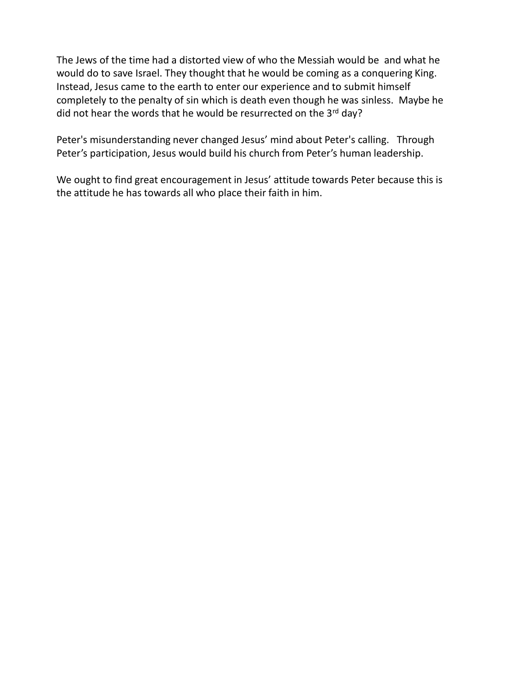The Jews of the time had a distorted view of who the Messiah would be and what he would do to save Israel. They thought that he would be coming as a conquering King. Instead, Jesus came to the earth to enter our experience and to submit himself completely to the penalty of sin which is death even though he was sinless. Maybe he did not hear the words that he would be resurrected on the 3rd day?

Peter's misunderstanding never changed Jesus' mind about Peter's calling. Through Peter's participation, Jesus would build his church from Peter's human leadership.

We ought to find great encouragement in Jesus' attitude towards Peter because this is the attitude he has towards all who place their faith in him.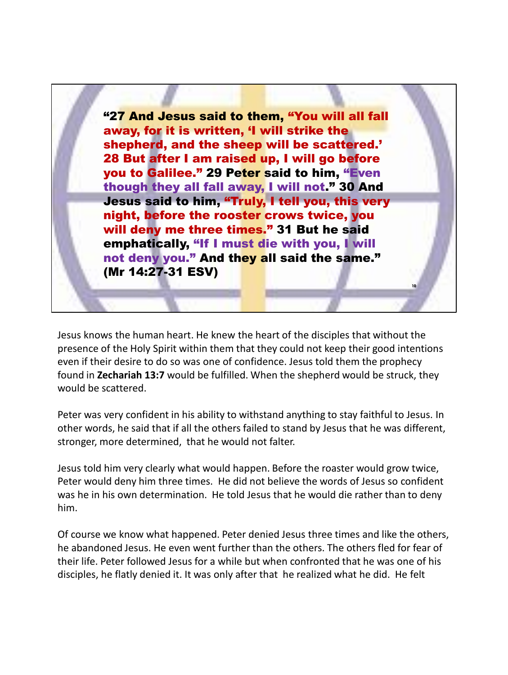"27 And Jesus said to them, "You will all fall away, for it is written, 'I will strike the shepherd, and the sheep will be scattered.' 28 But after I am raised up, I will go before you to Galilee." 29 Peter said to him, "Even though they all fall away, I will not." 30 And Jesus said to him, "Truly, I tell you, this very night, before the rooster crows twice, you will deny me three times." 31 But he said emphatically, "If I must die with you, I will not deny you." And they all said the same." (Mr 14:27-31 ESV)

Jesus knows the human heart. He knew the heart of the disciples that without the presence of the Holy Spirit within them that they could not keep their good intentions even if their desire to do so was one of confidence. Jesus told them the prophecy found in **Zechariah 13:7** would be fulfilled. When the shepherd would be struck, they would be scattered.

**10**

Peter was very confident in his ability to withstand anything to stay faithful to Jesus. In other words, he said that if all the others failed to stand by Jesus that he was different, stronger, more determined, that he would not falter.

Jesus told him very clearly what would happen. Before the roaster would grow twice, Peter would deny him three times. He did not believe the words of Jesus so confident was he in his own determination. He told Jesus that he would die rather than to deny him.

Of course we know what happened. Peter denied Jesus three times and like the others, he abandoned Jesus. He even went further than the others. The others fled for fear of their life. Peter followed Jesus for a while but when confronted that he was one of his disciples, he flatly denied it. It was only after that he realized what he did. He felt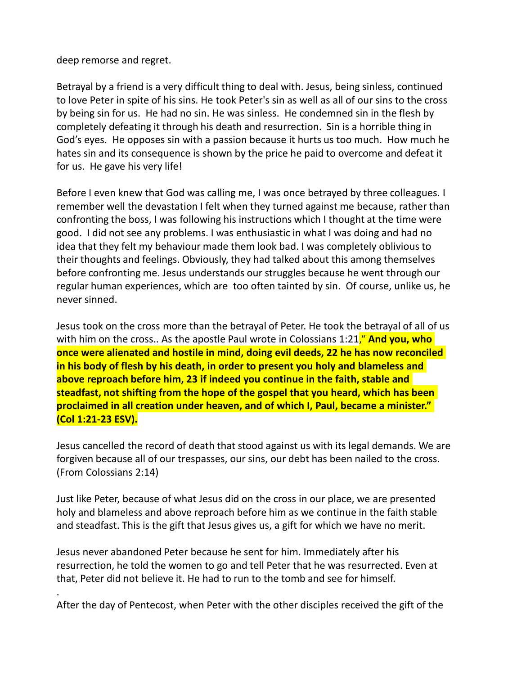deep remorse and regret.

Betrayal by a friend is a very difficult thing to deal with. Jesus, being sinless, continued to love Peter in spite of his sins. He took Peter's sin as well as all of our sins to the cross by being sin for us. He had no sin. He was sinless. He condemned sin in the flesh by completely defeating it through his death and resurrection. Sin is a horrible thing in God's eyes. He opposes sin with a passion because it hurts us too much. How much he hates sin and its consequence is shown by the price he paid to overcome and defeat it for us. He gave his very life!

Before I even knew that God was calling me, I was once betrayed by three colleagues. I remember well the devastation I felt when they turned against me because, rather than confronting the boss, I was following his instructions which I thought at the time were good. I did not see any problems. I was enthusiastic in what I was doing and had no idea that they felt my behaviour made them look bad. I was completely oblivious to their thoughts and feelings. Obviously, they had talked about this among themselves before confronting me. Jesus understands our struggles because he went through our regular human experiences, which are too often tainted by sin. Of course, unlike us, he never sinned.

Jesus took on the cross more than the betrayal of Peter. He took the betrayal of all of us with him on the cross.. As the apostle Paul wrote in Colossians 1:21," **And you, who once were alienated and hostile in mind, doing evil deeds, 22 he has now reconciled in his body of flesh by his death, in order to present you holy and blameless and above reproach before him, 23 if indeed you continue in the faith, stable and steadfast, not shifting from the hope of the gospel that you heard, which has been proclaimed in all creation under heaven, and of which I, Paul, became a minister." (Col 1:21-23 ESV).**

Jesus cancelled the record of death that stood against us with its legal demands. We are forgiven because all of our trespasses, our sins, our debt has been nailed to the cross. (From Colossians 2:14)

Just like Peter, because of what Jesus did on the cross in our place, we are presented holy and blameless and above reproach before him as we continue in the faith stable and steadfast. This is the gift that Jesus gives us, a gift for which we have no merit.

Jesus never abandoned Peter because he sent for him. Immediately after his resurrection, he told the women to go and tell Peter that he was resurrected. Even at that, Peter did not believe it. He had to run to the tomb and see for himself.

. After the day of Pentecost, when Peter with the other disciples received the gift of the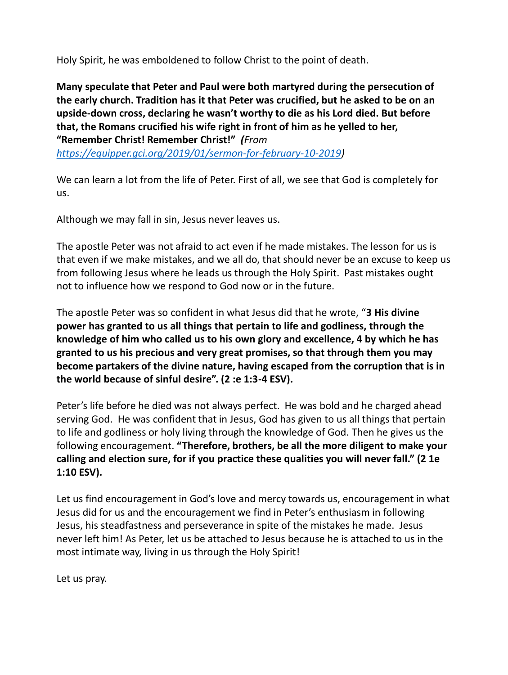Holy Spirit, he was emboldened to follow Christ to the point of death.

**Many speculate that Peter and Paul were both martyred during the persecution of the early church. Tradition has it that Peter was crucified, but he asked to be on an upside-down cross, declaring he wasn't worthy to die as his Lord died. But before that, the Romans crucified his wife right in front of him as he yelled to her, "Remember Christ! Remember Christ!"** *(From* 

*https://equipper.gci.org/2019/01/sermon-for-february-10-2019)*

We can learn a lot from the life of Peter. First of all, we see that God is completely for us.

Although we may fall in sin, Jesus never leaves us.

The apostle Peter was not afraid to act even if he made mistakes. The lesson for us is that even if we make mistakes, and we all do, that should never be an excuse to keep us from following Jesus where he leads us through the Holy Spirit. Past mistakes ought not to influence how we respond to God now or in the future.

The apostle Peter was so confident in what Jesus did that he wrote, "**3 His divine power has granted to us all things that pertain to life and godliness, through the knowledge of him who called us to his own glory and excellence, 4 by which he has granted to us his precious and very great promises, so that through them you may become partakers of the divine nature, having escaped from the corruption that is in the world because of sinful desire". (2 :e 1:3-4 ESV).**

Peter's life before he died was not always perfect. He was bold and he charged ahead serving God. He was confident that in Jesus, God has given to us all things that pertain to life and godliness or holy living through the knowledge of God. Then he gives us the following encouragement. **"Therefore, brothers, be all the more diligent to make your calling and election sure, for if you practice these qualities you will never fall." (2 1e 1:10 ESV).**

Let us find encouragement in God's love and mercy towards us, encouragement in what Jesus did for us and the encouragement we find in Peter's enthusiasm in following Jesus, his steadfastness and perseverance in spite of the mistakes he made. Jesus never left him! As Peter, let us be attached to Jesus because he is attached to us in the most intimate way, living in us through the Holy Spirit!

Let us pray.